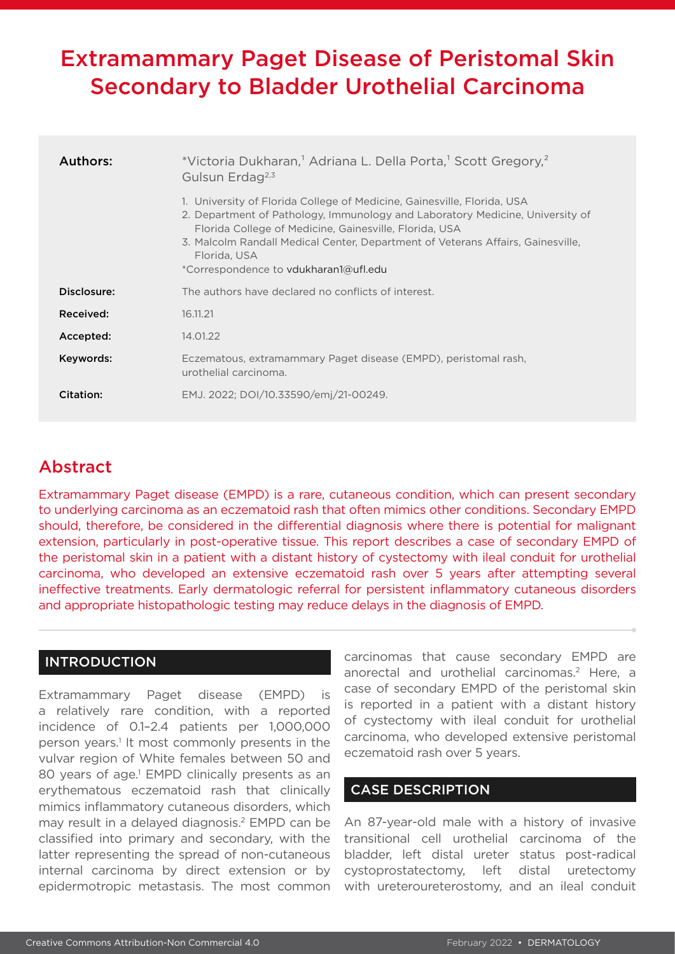# Extramammary Paget Disease of Peristomal Skin Secondary to Bladder Urothelial Carcinoma

| <b>Authors:</b> | *Victoria Dukharan, <sup>1</sup> Adriana L. Della Porta, <sup>1</sup> Scott Gregory, <sup>2</sup><br>Gulsun Erdag <sup>2,3</sup>                                                                                                                                                                                                                               |
|-----------------|----------------------------------------------------------------------------------------------------------------------------------------------------------------------------------------------------------------------------------------------------------------------------------------------------------------------------------------------------------------|
|                 | 1. University of Florida College of Medicine, Gainesville, Florida, USA<br>2. Department of Pathology, Immunology and Laboratory Medicine, University of<br>Florida College of Medicine, Gainesville, Florida, USA<br>3. Malcolm Randall Medical Center, Department of Veterans Affairs, Gainesville,<br>Florida, USA<br>*Correspondence to vdukharan1@ufl.edu |
| Disclosure:     | The authors have declared no conflicts of interest.                                                                                                                                                                                                                                                                                                            |
| Received:       | 16.11.21                                                                                                                                                                                                                                                                                                                                                       |
| Accepted:       | 14.01.22                                                                                                                                                                                                                                                                                                                                                       |
| Keywords:       | Eczematous, extramammary Paget disease (EMPD), peristomal rash,<br>urothelial carcinoma.                                                                                                                                                                                                                                                                       |
| Citation:       | EMJ. 2022; DOI/10.33590/emj/21-00249.                                                                                                                                                                                                                                                                                                                          |

## Abstract

Extramammary Paget disease (EMPD) is a rare, cutaneous condition, which can present secondary to underlying carcinoma as an eczematoid rash that often mimics other conditions. Secondary EMPD should, therefore, be considered in the differential diagnosis where there is potential for malignant extension, particularly in post-operative tissue. This report describes a case of secondary EMPD of the peristomal skin in a patient with a distant history of cystectomy with ileal conduit for urothelial carcinoma, who developed an extensive eczematoid rash over 5 years after attempting several ineffective treatments. Early dermatologic referral for persistent inflammatory cutaneous disorders and appropriate histopathologic testing may reduce delays in the diagnosis of EMPD.

### INTRODUCTION

Extramammary Paget disease (EMPD) is a relatively rare condition, with a reported incidence of 0.1–2.4 patients per 1,000,000 person years.<sup>1</sup> It most commonly presents in the vulvar region of White females between 50 and 80 years of age.<sup>1</sup> EMPD clinically presents as an erythematous eczematoid rash that clinically mimics inflammatory cutaneous disorders, which may result in a delayed diagnosis.2 EMPD can be classified into primary and secondary, with the latter representing the spread of non-cutaneous internal carcinoma by direct extension or by epidermotropic metastasis. The most common

carcinomas that cause secondary EMPD are anorectal and urothelial carcinomas.<sup>2</sup> Here, a case of secondary EMPD of the peristomal skin is reported in a patient with a distant history of cystectomy with ileal conduit for urothelial carcinoma, who developed extensive peristomal eczematoid rash over 5 years.

### CASE DESCRIPTION

An 87-year-old male with a history of invasive transitional cell urothelial carcinoma of the bladder, left distal ureter status post-radical cystoprostatectomy, left distal uretectomy with ureteroureterostomy, and an ileal conduit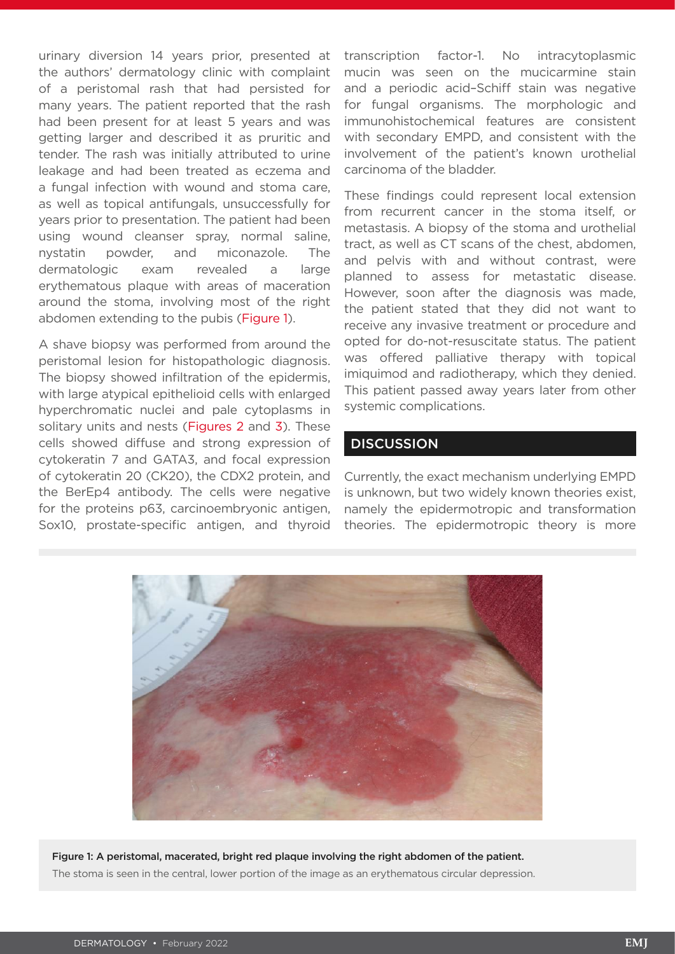urinary diversion 14 years prior, presented at the authors' dermatology clinic with complaint of a peristomal rash that had persisted for many years. The patient reported that the rash had been present for at least 5 years and was getting larger and described it as pruritic and tender. The rash was initially attributed to urine leakage and had been treated as eczema and a fungal infection with wound and stoma care, as well as topical antifungals, unsuccessfully for years prior to presentation. The patient had been using wound cleanser spray, normal saline, nystatin powder, and miconazole. The dermatologic exam revealed a large erythematous plaque with areas of maceration around the stoma, involving most of the right abdomen extending to the pubis (Figure 1).

A shave biopsy was performed from around the peristomal lesion for histopathologic diagnosis. The biopsy showed infiltration of the epidermis, with large atypical epithelioid cells with enlarged hyperchromatic nuclei and pale cytoplasms in solitary units and nests (Figures 2 and 3). These cells showed diffuse and strong expression of cytokeratin 7 and GATA3, and focal expression of cytokeratin 20 (CK20), the CDX2 protein, and the BerEp4 antibody. The cells were negative for the proteins p63, carcinoembryonic antigen, Sox10, prostate-specific antigen, and thyroid transcription factor-1. No intracytoplasmic mucin was seen on the mucicarmine stain and a periodic acid–Schiff stain was negative for fungal organisms. The morphologic and immunohistochemical features are consistent with secondary EMPD, and consistent with the involvement of the patient's known urothelial carcinoma of the bladder.

These findings could represent local extension from recurrent cancer in the stoma itself, or metastasis. A biopsy of the stoma and urothelial tract, as well as CT scans of the chest, abdomen, and pelvis with and without contrast, were planned to assess for metastatic disease. However, soon after the diagnosis was made, the patient stated that they did not want to receive any invasive treatment or procedure and opted for do-not-resuscitate status. The patient was offered palliative therapy with topical imiquimod and radiotherapy, which they denied. This patient passed away years later from other systemic complications.

#### **DISCUSSION**

Currently, the exact mechanism underlying EMPD is unknown, but two widely known theories exist, namely the epidermotropic and transformation theories. The epidermotropic theory is more



Figure 1: A peristomal, macerated, bright red plaque involving the right abdomen of the patient. The stoma is seen in the central, lower portion of the image as an erythematous circular depression.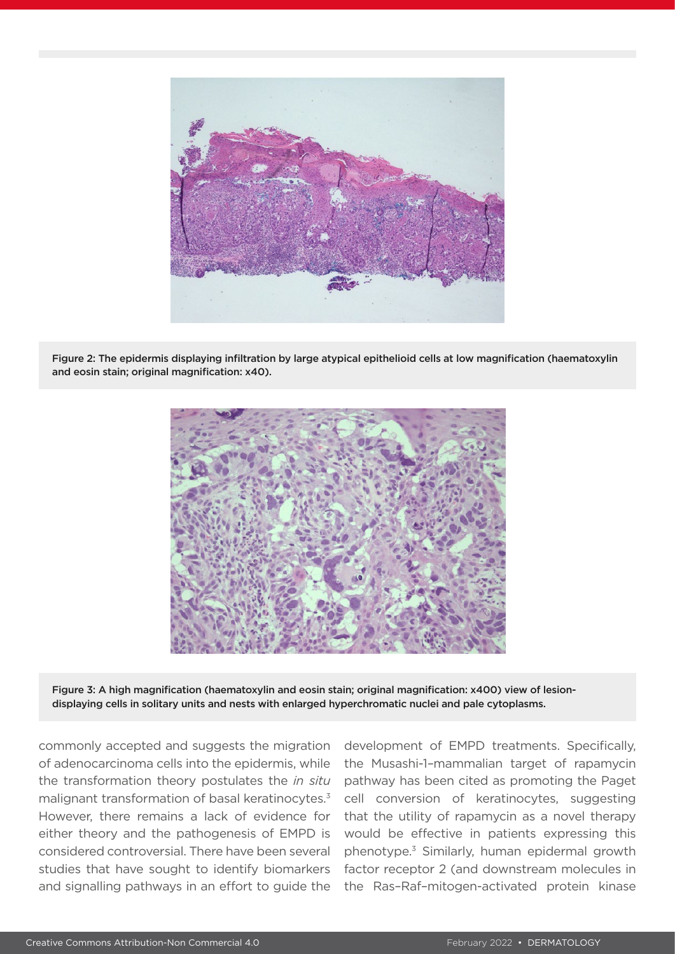

Figure 2: The epidermis displaying infiltration by large atypical epithelioid cells at low magnification (haematoxylin and eosin stain; original magnification: x40).



Figure 3: A high magnification (haematoxylin and eosin stain; original magnification: x400) view of lesiondisplaying cells in solitary units and nests with enlarged hyperchromatic nuclei and pale cytoplasms.

commonly accepted and suggests the migration of adenocarcinoma cells into the epidermis, while the transformation theory postulates the *in situ* malignant transformation of basal keratinocytes.3 However, there remains a lack of evidence for either theory and the pathogenesis of EMPD is considered controversial. There have been several studies that have sought to identify biomarkers and signalling pathways in an effort to guide the

development of EMPD treatments. Specifically, the Musashi-1*–*mammalian target of rapamycin pathway has been cited as promoting the Paget cell conversion of keratinocytes, suggesting that the utility of rapamycin as a novel therapy would be effective in patients expressing this phenotype.3 Similarly, human epidermal growth factor receptor 2 (and downstream molecules in the Ras–Raf–mitogen-activated protein kinase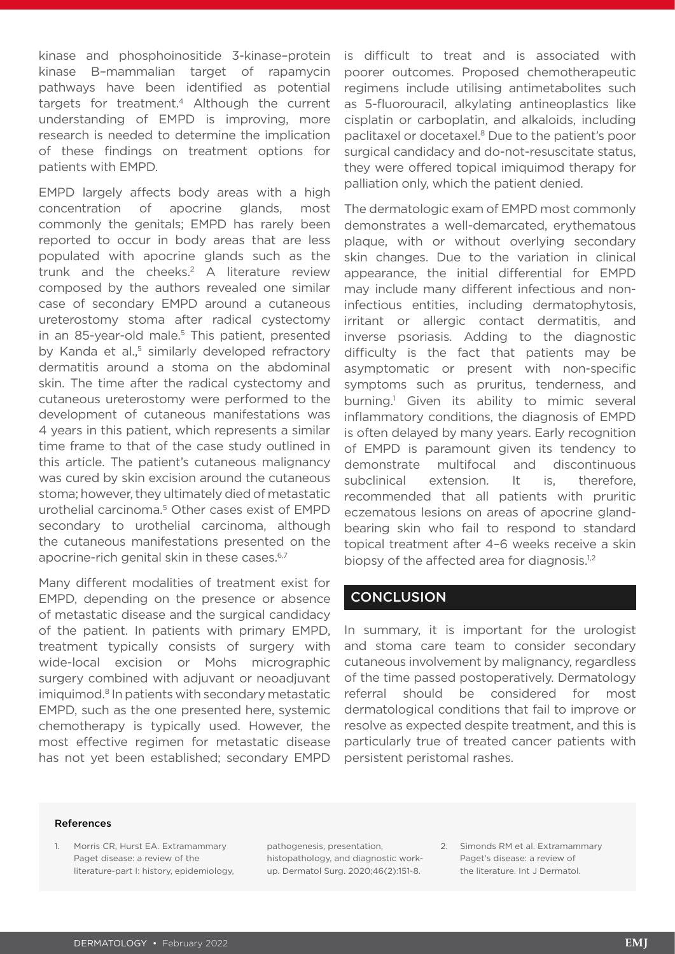kinase and phosphoinositide 3-kinase–protein kinase B*–*mammalian target of rapamycin pathways have been identified as potential targets for treatment.4 Although the current understanding of EMPD is improving, more research is needed to determine the implication of these findings on treatment options for patients with EMPD.

EMPD largely affects body areas with a high concentration of apocrine glands, most commonly the genitals; EMPD has rarely been reported to occur in body areas that are less populated with apocrine glands such as the trunk and the cheeks.2 A literature review composed by the authors revealed one similar case of secondary EMPD around a cutaneous ureterostomy stoma after radical cystectomy in an 85-year-old male.<sup>5</sup> This patient, presented by Kanda et al.<sup>5</sup> similarly developed refractory dermatitis around a stoma on the abdominal skin. The time after the radical cystectomy and cutaneous ureterostomy were performed to the development of cutaneous manifestations was 4 years in this patient, which represents a similar time frame to that of the case study outlined in this article. The patient's cutaneous malignancy was cured by skin excision around the cutaneous stoma; however, they ultimately died of metastatic urothelial carcinoma.5 Other cases exist of EMPD secondary to urothelial carcinoma, although the cutaneous manifestations presented on the apocrine-rich genital skin in these cases.<sup>6,7</sup>

Many different modalities of treatment exist for EMPD, depending on the presence or absence of metastatic disease and the surgical candidacy of the patient. In patients with primary EMPD, treatment typically consists of surgery with wide-local excision or Mohs micrographic surgery combined with adjuvant or neoadjuvant imiquimod.8 In patients with secondary metastatic EMPD, such as the one presented here, systemic chemotherapy is typically used. However, the most effective regimen for metastatic disease has not yet been established; secondary EMPD

is difficult to treat and is associated with poorer outcomes. Proposed chemotherapeutic regimens include utilising antimetabolites such as 5-fluorouracil, alkylating antineoplastics like cisplatin or carboplatin, and alkaloids, including paclitaxel or docetaxel.8 Due to the patient's poor surgical candidacy and do-not-resuscitate status, they were offered topical imiquimod therapy for palliation only, which the patient denied.

The dermatologic exam of EMPD most commonly demonstrates a well-demarcated, erythematous plaque, with or without overlying secondary skin changes. Due to the variation in clinical appearance, the initial differential for EMPD may include many different infectious and noninfectious entities, including dermatophytosis, irritant or allergic contact dermatitis, and inverse psoriasis. Adding to the diagnostic difficulty is the fact that patients may be asymptomatic or present with non-specific symptoms such as pruritus, tenderness, and burning.1 Given its ability to mimic several inflammatory conditions, the diagnosis of EMPD is often delayed by many years. Early recognition of EMPD is paramount given its tendency to demonstrate multifocal and discontinuous subclinical extension. It is, therefore, recommended that all patients with pruritic eczematous lesions on areas of apocrine glandbearing skin who fail to respond to standard topical treatment after 4–6 weeks receive a skin biopsy of the affected area for diagnosis.<sup>1,2</sup>

#### **CONCLUSION**

In summary, it is important for the urologist and stoma care team to consider secondary cutaneous involvement by malignancy, regardless of the time passed postoperatively. Dermatology referral should be considered for most dermatological conditions that fail to improve or resolve as expected despite treatment, and this is particularly true of treated cancer patients with persistent peristomal rashes.

#### References

1. Morris CR, Hurst EA. Extramammary Paget disease: a review of the literature-part I: history, epidemiology, pathogenesis, presentation, histopathology, and diagnostic workup. Dermatol Surg. 2020;46(2):151-8. 2. Simonds RM et al. Extramammary Paget's disease: a review of the literature. Int J Dermatol.